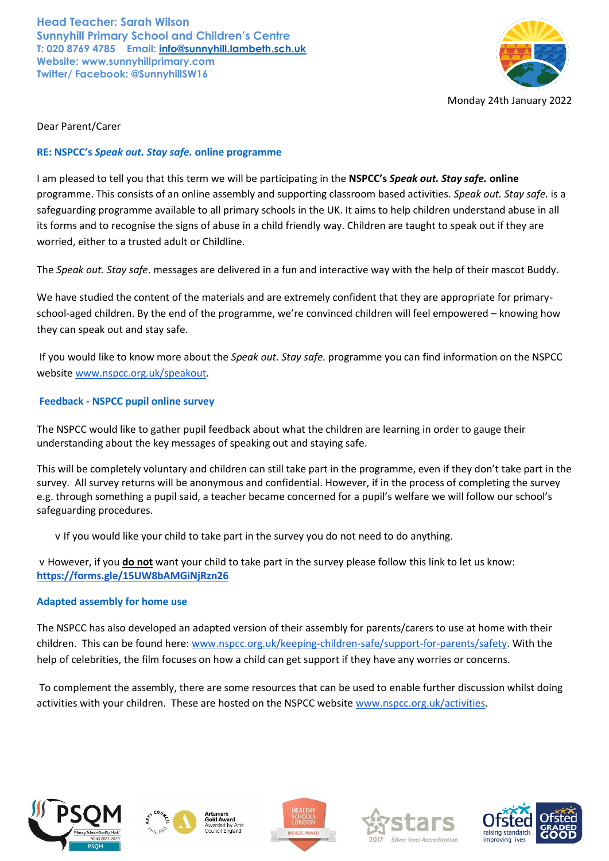**Head Teacher: Sarah Wilson Sunnyhill Primary School and Children's Centre T: 020 8769 4785 Email: [info@sunnyhill.lambeth.sch.uk](mailto:info@sunnyhill.lambeth.sch.uk) Website: www.sunnyhillprimary.com Twitter/ Facebook: @SunnyhillSW16**



Dear Parent/Carer

## **RE: NSPCC's** *Speak out. Stay safe.* **online programme**

I am pleased to tell you that this term we will be participating in the **NSPCC's** *Speak out. Stay safe.* **online** programme. This consists of an online assembly and supporting classroom based activities. *Speak out. Stay safe.* is a safeguarding programme available to all primary schools in the UK. It aims to help children understand abuse in all its forms and to recognise the signs of abuse in a child friendly way. Children are taught to speak out if they are worried, either to a trusted adult or Childline.

The *Speak out. Stay safe*. messages are delivered in a fun and interactive way with the help of their mascot Buddy.

We have studied the content of the materials and are extremely confident that they are appropriate for primaryschool-aged children. By the end of the programme, we're convinced children will feel empowered – knowing how they can speak out and stay safe.

If you would like to know more about the *Speak out. Stay safe.* programme you can find information on the NSPCC website [www.nspcc.org.uk/speakout.](http://www.nspcc.org.uk/speakout)

# **Feedback - NSPCC pupil online survey**

The NSPCC would like to gather pupil feedback about what the children are learning in order to gauge their understanding about the key messages of speaking out and staying safe.

This will be completely voluntary and children can still take part in the programme, even if they don't take part in the survey. All survey returns will be anonymous and confidential. However, if in the process of completing the survey e.g. through something a pupil said, a teacher became concerned for a pupil's welfare we will follow our school's safeguarding procedures.

v If you would like your child to take part in the survey you do not need to do anything.

v However, if you **do not** want your child to take part in the survey please follow this link to let us know: **<https://forms.gle/15UW8bAMGiNjRzn26>**

### **Adapted assembly for home use**

The NSPCC has also developed an adapted version of their assembly for parents/carers to use at home with their children. This can be found here: [www.nspcc.org.uk/keeping-children-safe/support-for-parents/safety.](http://www.nspcc.org.uk/keeping-children-safe/support-for-parents/safety) With the help of celebrities, the film focuses on how a child can get support if they have any worries or concerns.

To complement the assembly, there are some resources that can be used to enable further discussion whilst doing activiti[e](http://www.nspcc.org.uk/activities)s with your children. These are hosted on the NSPCC website [www.nspcc.org.uk/activities.](http://www.nspcc.org.uk/activities)